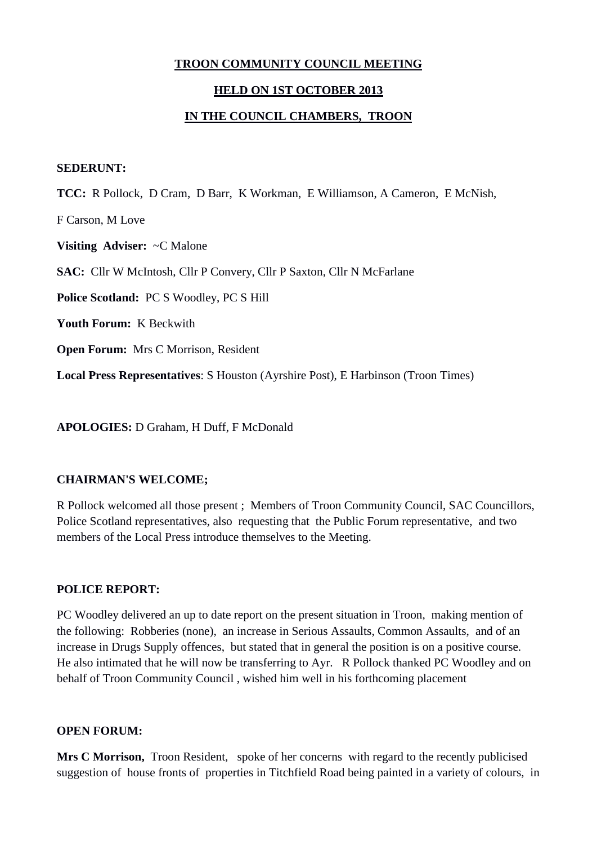# **TROON COMMUNITY COUNCIL MEETING**

### **HELD ON 1ST OCTOBER 2013**

### **IN THE COUNCIL CHAMBERS, TROON**

#### **SEDERUNT:**

**TCC:** R Pollock, D Cram, D Barr, K Workman, E Williamson, A Cameron, E McNish, F Carson, M Love **Visiting Adviser:** ~C Malone **SAC:** Cllr W McIntosh, Cllr P Convery, Cllr P Saxton, Cllr N McFarlane **Police Scotland:** PC S Woodley, PC S Hill **Youth Forum:** K Beckwith **Open Forum:** Mrs C Morrison, Resident

**Local Press Representatives**: S Houston (Ayrshire Post), E Harbinson (Troon Times)

**APOLOGIES:** D Graham, H Duff, F McDonald

### **CHAIRMAN'S WELCOME;**

R Pollock welcomed all those present ; Members of Troon Community Council, SAC Councillors, Police Scotland representatives, also requesting that the Public Forum representative, and two members of the Local Press introduce themselves to the Meeting.

### **POLICE REPORT:**

PC Woodley delivered an up to date report on the present situation in Troon, making mention of the following: Robberies (none), an increase in Serious Assaults, Common Assaults, and of an increase in Drugs Supply offences, but stated that in general the position is on a positive course. He also intimated that he will now be transferring to Ayr. R Pollock thanked PC Woodley and on behalf of Troon Community Council , wished him well in his forthcoming placement

### **OPEN FORUM:**

**Mrs C Morrison,** Troon Resident, spoke of her concerns with regard to the recently publicised suggestion of house fronts of properties in Titchfield Road being painted in a variety of colours, in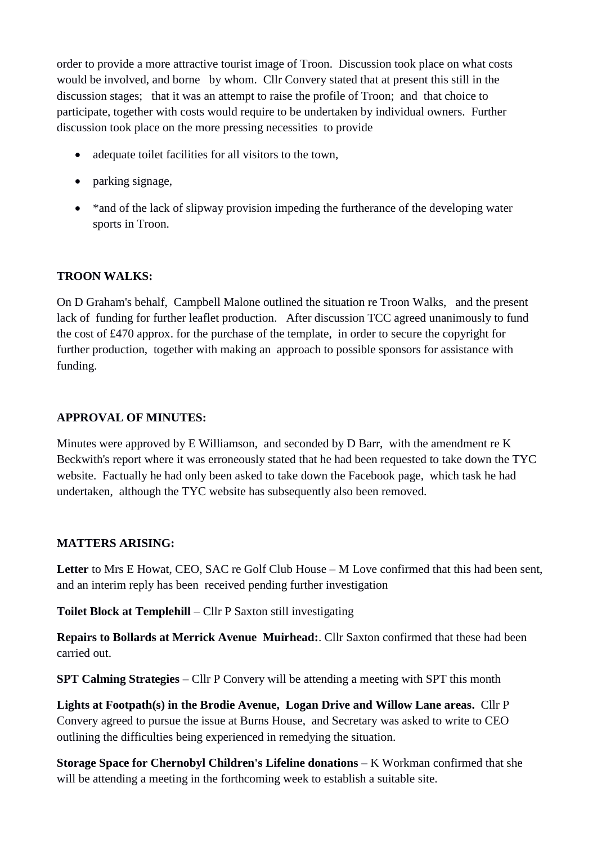order to provide a more attractive tourist image of Troon. Discussion took place on what costs would be involved, and borne by whom. Cllr Convery stated that at present this still in the discussion stages; that it was an attempt to raise the profile of Troon; and that choice to participate, together with costs would require to be undertaken by individual owners. Further discussion took place on the more pressing necessities to provide

- adequate toilet facilities for all visitors to the town,
- parking signage,
- \*and of the lack of slipway provision impeding the furtherance of the developing water sports in Troon.

# **TROON WALKS:**

On D Graham's behalf, Campbell Malone outlined the situation re Troon Walks, and the present lack of funding for further leaflet production. After discussion TCC agreed unanimously to fund the cost of £470 approx. for the purchase of the template, in order to secure the copyright for further production, together with making an approach to possible sponsors for assistance with funding.

### **APPROVAL OF MINUTES:**

Minutes were approved by E Williamson, and seconded by D Barr, with the amendment re K Beckwith's report where it was erroneously stated that he had been requested to take down the TYC website. Factually he had only been asked to take down the Facebook page, which task he had undertaken, although the TYC website has subsequently also been removed.

# **MATTERS ARISING:**

**Letter** to Mrs E Howat, CEO, SAC re Golf Club House – M Love confirmed that this had been sent, and an interim reply has been received pending further investigation

**Toilet Block at Templehill** – Cllr P Saxton still investigating

**Repairs to Bollards at Merrick Avenue Muirhead:**. Cllr Saxton confirmed that these had been carried out.

**SPT Calming Strategies** – Cllr P Convery will be attending a meeting with SPT this month

**Lights at Footpath(s) in the Brodie Avenue, Logan Drive and Willow Lane areas.** Cllr P Convery agreed to pursue the issue at Burns House, and Secretary was asked to write to CEO outlining the difficulties being experienced in remedying the situation.

**Storage Space for Chernobyl Children's Lifeline donations** – K Workman confirmed that she will be attending a meeting in the forthcoming week to establish a suitable site.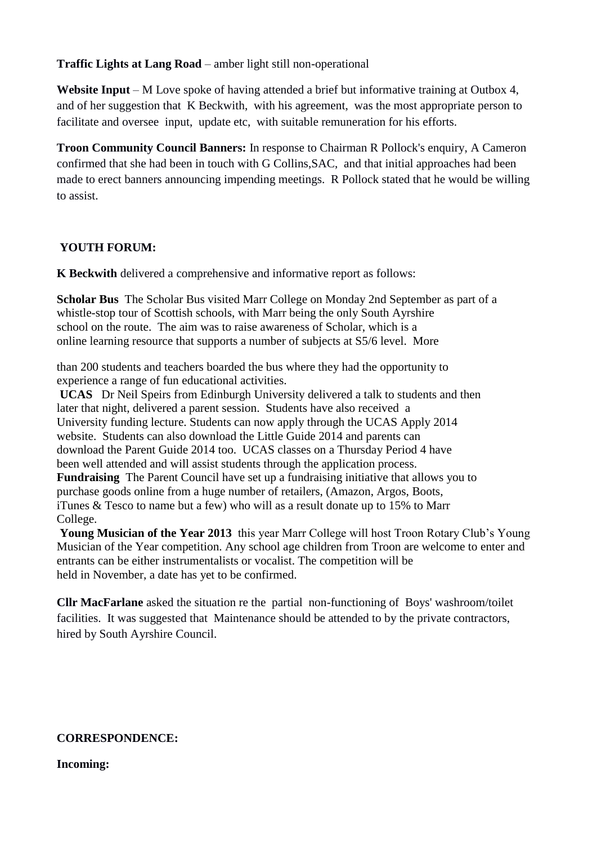**Traffic Lights at Lang Road** – amber light still non-operational

**Website Input** – M Love spoke of having attended a brief but informative training at Outbox 4, and of her suggestion that K Beckwith, with his agreement, was the most appropriate person to facilitate and oversee input, update etc, with suitable remuneration for his efforts.

**Troon Community Council Banners:** In response to Chairman R Pollock's enquiry, A Cameron confirmed that she had been in touch with G Collins,SAC, and that initial approaches had been made to erect banners announcing impending meetings. R Pollock stated that he would be willing to assist.

# **YOUTH FORUM:**

**K Beckwith** delivered a comprehensive and informative report as follows:

**Scholar Bus** The Scholar Bus visited Marr College on Monday 2nd September as part of a whistle-stop tour of Scottish schools, with Marr being the only South Ayrshire school on the route. The aim was to raise awareness of Scholar, which is a online learning resource that supports a number of subjects at S5/6 level. More

than 200 students and teachers boarded the bus where they had the opportunity to experience a range of fun educational activities.

**UCAS** Dr Neil Speirs from Edinburgh University delivered a talk to students and then later that night, delivered a parent session. Students have also received a University funding lecture. Students can now apply through the UCAS Apply 2014 website. Students can also download the Little Guide 2014 and parents can download the Parent Guide 2014 too. UCAS classes on a Thursday Period 4 have been well attended and will assist students through the application process. **Fundraising** The Parent Council have set up a fundraising initiative that allows you to purchase goods online from a huge number of retailers, (Amazon, Argos, Boots, iTunes & Tesco to name but a few) who will as a result donate up to 15% to Marr College.

Young Musician of the Year 2013 this year Marr College will host Troon Rotary Club's Young Musician of the Year competition. Any school age children from Troon are welcome to enter and entrants can be either instrumentalists or vocalist. The competition will be held in November, a date has yet to be confirmed.

**Cllr MacFarlane** asked the situation re the partial non-functioning of Boys' washroom/toilet facilities. It was suggested that Maintenance should be attended to by the private contractors, hired by South Ayrshire Council.

# **CORRESPONDENCE:**

**Incoming:**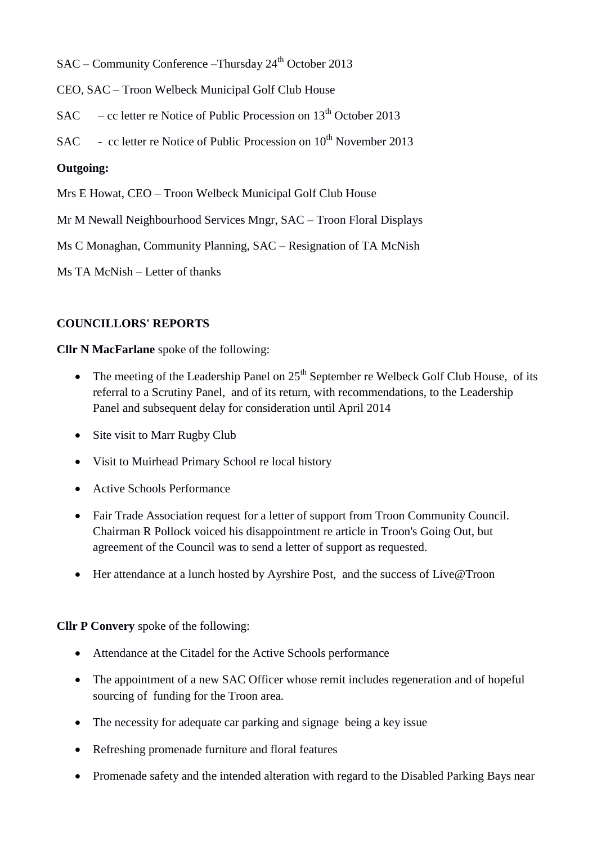- SAC Community Conference –Thursday  $24<sup>th</sup>$  October 2013
- CEO, SAC Troon Welbeck Municipal Golf Club House
- $SAC cc$  letter re Notice of Public Procession on  $13<sup>th</sup>$  October 2013
- SAC cc letter re Notice of Public Procession on 10<sup>th</sup> November 2013

# **Outgoing:**

Mrs E Howat, CEO – Troon Welbeck Municipal Golf Club House

Mr M Newall Neighbourhood Services Mngr, SAC – Troon Floral Displays

Ms C Monaghan, Community Planning, SAC – Resignation of TA McNish

Ms TA McNish – Letter of thanks

# **COUNCILLORS' REPORTS**

**Cllr N MacFarlane** spoke of the following:

- The meeting of the Leadership Panel on  $25<sup>th</sup>$  September re Welbeck Golf Club House, of its referral to a Scrutiny Panel, and of its return, with recommendations, to the Leadership Panel and subsequent delay for consideration until April 2014
- Site visit to Marr Rugby Club
- Visit to Muirhead Primary School re local history
- Active Schools Performance
- Fair Trade Association request for a letter of support from Troon Community Council. Chairman R Pollock voiced his disappointment re article in Troon's Going Out, but agreement of the Council was to send a letter of support as requested.
- Her attendance at a lunch hosted by Ayrshire Post, and the success of Live@Troon

**Cllr P Convery** spoke of the following:

- Attendance at the Citadel for the Active Schools performance
- The appointment of a new SAC Officer whose remit includes regeneration and of hopeful sourcing of funding for the Troon area.
- The necessity for adequate car parking and signage being a key issue
- Refreshing promenade furniture and floral features
- Promenade safety and the intended alteration with regard to the Disabled Parking Bays near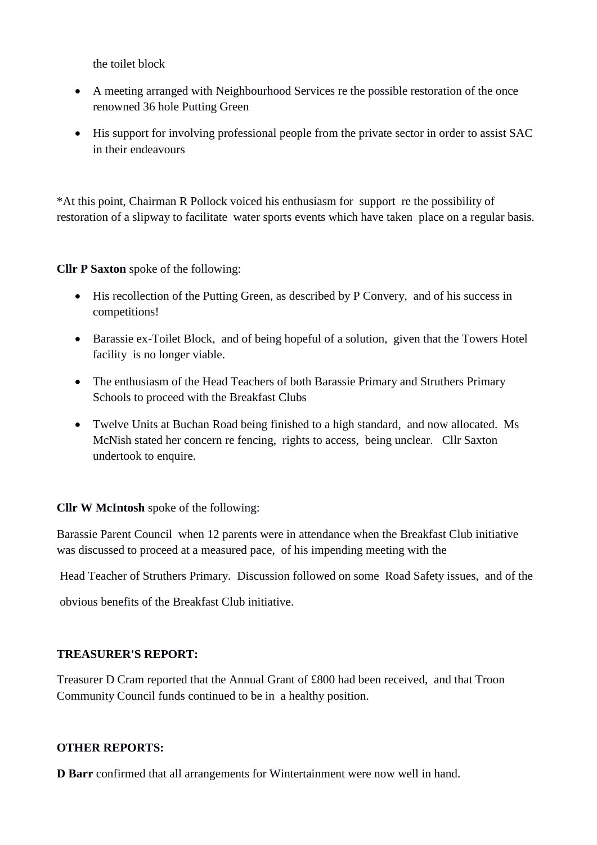the toilet block

- A meeting arranged with Neighbourhood Services re the possible restoration of the once renowned 36 hole Putting Green
- His support for involving professional people from the private sector in order to assist SAC in their endeavours

\*At this point, Chairman R Pollock voiced his enthusiasm for support re the possibility of restoration of a slipway to facilitate water sports events which have taken place on a regular basis.

**Cllr P Saxton** spoke of the following:

- His recollection of the Putting Green, as described by P Convery, and of his success in competitions!
- Barassie ex-Toilet Block, and of being hopeful of a solution, given that the Towers Hotel facility is no longer viable.
- The enthusiasm of the Head Teachers of both Barassie Primary and Struthers Primary Schools to proceed with the Breakfast Clubs
- Twelve Units at Buchan Road being finished to a high standard, and now allocated. Ms McNish stated her concern re fencing, rights to access, being unclear. Cllr Saxton undertook to enquire.

# **Cllr W McIntosh** spoke of the following:

Barassie Parent Council when 12 parents were in attendance when the Breakfast Club initiative was discussed to proceed at a measured pace, of his impending meeting with the

Head Teacher of Struthers Primary. Discussion followed on some Road Safety issues, and of the

obvious benefits of the Breakfast Club initiative.

# **TREASURER'S REPORT:**

Treasurer D Cram reported that the Annual Grant of £800 had been received, and that Troon Community Council funds continued to be in a healthy position.

### **OTHER REPORTS:**

**D Barr** confirmed that all arrangements for Wintertainment were now well in hand.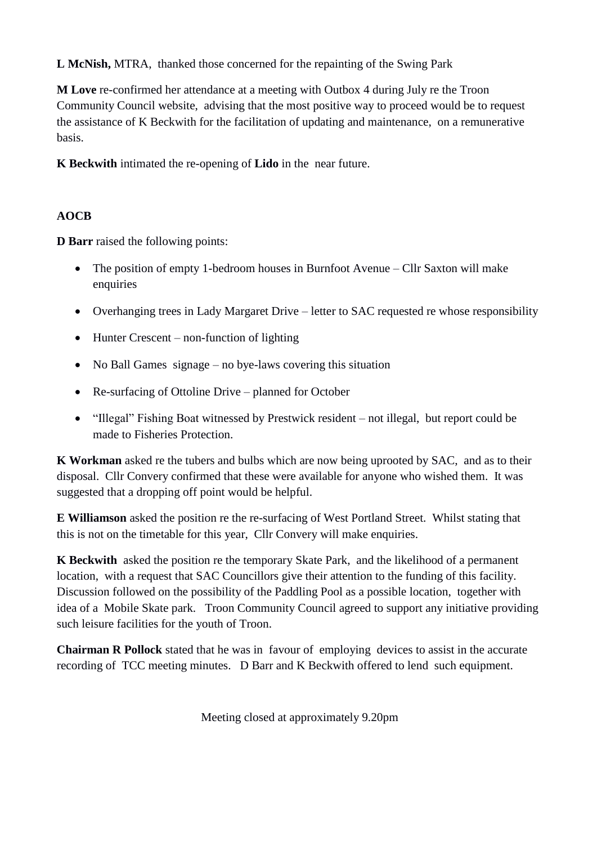**L McNish,** MTRA, thanked those concerned for the repainting of the Swing Park

**M Love** re-confirmed her attendance at a meeting with Outbox 4 during July re the Troon Community Council website, advising that the most positive way to proceed would be to request the assistance of K Beckwith for the facilitation of updating and maintenance, on a remunerative basis.

**K Beckwith** intimated the re-opening of **Lido** in the near future.

# **AOCB**

**D Barr** raised the following points:

- The position of empty 1-bedroom houses in Burnfoot Avenue Cllr Saxton will make enquiries
- Overhanging trees in Lady Margaret Drive letter to SAC requested re whose responsibility
- $\bullet$  Hunter Crescent non-function of lighting
- $\bullet$  No Ball Games signage no bye-laws covering this situation
- Re-surfacing of Ottoline Drive planned for October
- "Illegal" Fishing Boat witnessed by Prestwick resident not illegal, but report could be made to Fisheries Protection.

**K Workman** asked re the tubers and bulbs which are now being uprooted by SAC, and as to their disposal. Cllr Convery confirmed that these were available for anyone who wished them. It was suggested that a dropping off point would be helpful.

**E Williamson** asked the position re the re-surfacing of West Portland Street. Whilst stating that this is not on the timetable for this year, Cllr Convery will make enquiries.

**K Beckwith** asked the position re the temporary Skate Park, and the likelihood of a permanent location, with a request that SAC Councillors give their attention to the funding of this facility. Discussion followed on the possibility of the Paddling Pool as a possible location, together with idea of a Mobile Skate park. Troon Community Council agreed to support any initiative providing such leisure facilities for the youth of Troon.

**Chairman R Pollock** stated that he was in favour of employing devices to assist in the accurate recording of TCC meeting minutes. D Barr and K Beckwith offered to lend such equipment.

Meeting closed at approximately 9.20pm